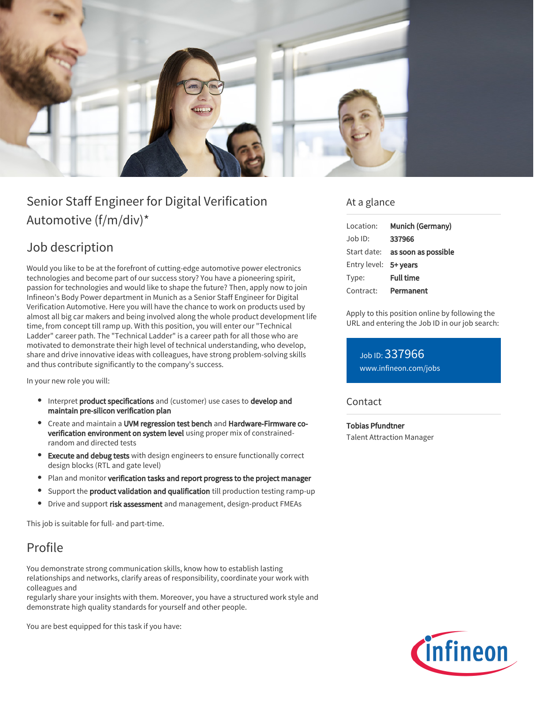

# Senior Staff Engineer for Digital Verification Automotive (f/m/div)\*

## Job description

Would you like to be at the forefront of cutting-edge automotive power electronics technologies and become part of our success story? You have a pioneering spirit, passion for technologies and would like to shape the future? Then, apply now to join Infineon's Body Power department in Munich as a Senior Staff Engineer for Digital Verification Automotive. Here you will have the chance to work on products used by almost all big car makers and being involved along the whole product development life time, from concept till ramp up. With this position, you will enter our "Technical Ladder" career path. The "Technical Ladder" is a career path for all those who are motivated to demonstrate their high level of technical understanding, who develop, share and drive innovative ideas with colleagues, have strong problem-solving skills and thus contribute significantly to the company's success.

In your new role you will:

- Interpret product specifications and (customer) use cases to develop and maintain pre-silicon verification plan
- Create and maintain a UVM regression test bench and Hardware-Firmware coverification environment on system level using proper mix of constrainedrandom and directed tests
- **Execute and debug tests** with design engineers to ensure functionally correct design blocks (RTL and gate level)
- Plan and monitor verification tasks and report progress to the project manager
- Support the **product validation and qualification** till production testing ramp-up
- Drive and support risk assessment and management, design-product FMEAs

This job is suitable for full- and part-time.

## Profile

You demonstrate strong communication skills, know how to establish lasting relationships and networks, clarify areas of responsibility, coordinate your work with colleagues and

regularly share your insights with them. Moreover, you have a structured work style and demonstrate high quality standards for yourself and other people.

You are best equipped for this task if you have:

#### At a glance

| Location:             | Munich (Germany)                       |
|-----------------------|----------------------------------------|
| Job ID:               | 337966                                 |
|                       | Start date: <b>as soon as possible</b> |
| Entry level: 5+ years |                                        |
| Type:                 | <b>Full time</b>                       |
| Contract:             | Permanent                              |

Apply to this position online by following the URL and entering the Job ID in our job search:

Job ID: 337966 [www.infineon.com/jobs](https://www.infineon.com/jobs)

#### **Contact**

Tobias Pfundtner Talent Attraction Manager